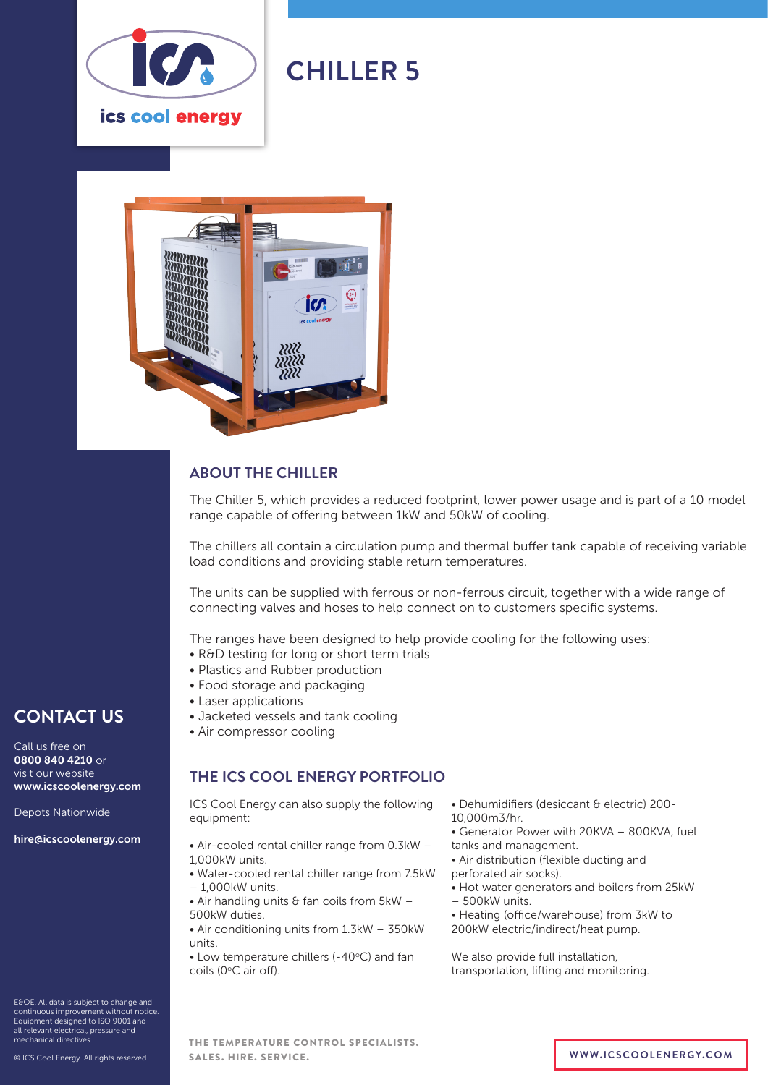

# **CHILLER 5**



### **ABOUT THE CHILLER**

The Chiller 5, which provides a reduced footprint, lower power usage and is part of a 10 model range capable of offering between 1kW and 50kW of cooling.

The chillers all contain a circulation pump and thermal buffer tank capable of receiving variable load conditions and providing stable return temperatures.

The units can be supplied with ferrous or non-ferrous circuit, together with a wide range of connecting valves and hoses to help connect on to customers specific systems.

The ranges have been designed to help provide cooling for the following uses:

- R&D testing for long or short term trials
- Plastics and Rubber production
- Food storage and packaging
- Laser applications
- Jacketed vessels and tank cooling
- Air compressor cooling

#### **THE ICS COOL ENERGY PORTFOLIO**

ICS Cool Energy can also supply the following equipment:

- Air-cooled rental chiller range from 0.3kW 1,000kW units.
- Water-cooled rental chiller range from 7.5kW – 1,000kW units.
- $\bullet$  Air handling units & fan coils from 5kW -500kW duties.
- Air conditioning units from 1.3kW 350kW units.

 $\bullet$  Low temperature chillers (-40 $\degree$ C) and fan coils (0°C air off).

- Dehumidifiers (desiccant & electric) 200-
- 10,000m3/hr.
- Generator Power with 20KVA 800KVA, fuel
- tanks and management.
- Air distribution (flexible ducting and
- perforated air socks).
- Hot water generators and boilers from 25kW
- 500kW units.
- Heating (office/warehouse) from 3kW to 200kW electric/indirect/heat pump.

We also provide full installation, transportation, lifting and monitoring.

E&OE. All data is subject to change and continuous improvement without notice. Equipment designed to ISO 9001 and all relevant electrical, pressure and mechanical directives.

**CONTACT US**

www.icscoolenergy.com

hire@icscoolenergy.com

Depots Nationwide

Call us free on 0800 840 4210 or visit our website

THE TEMPERATURE CONTROL SPECIALISTS. SALES. HIRE. SERVICE. **WWW.ICSCOOLENERGY.COM**